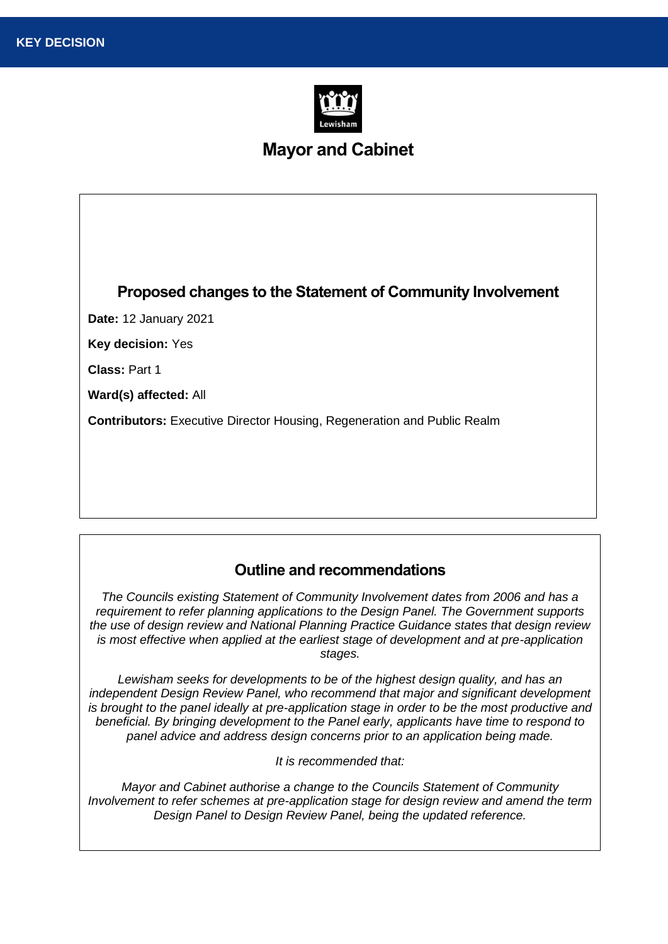

# **Mayor and Cabinet**

### **Proposed changes to the Statement of Community Involvement**

**Date:** 12 January 2021

**Key decision:** Yes

**Class:** Part 1

**Ward(s) affected:** All

**Contributors:** Executive Director Housing, Regeneration and Public Realm

#### **Outline and recommendations**

*The Councils existing Statement of Community Involvement dates from 2006 and has a requirement to refer planning applications to the Design Panel. The Government supports the use of design review and National Planning Practice Guidance states that design review is most effective when applied at the earliest stage of development and at pre-application stages.* 

*Lewisham seeks for developments to be of the highest design quality, and has an independent Design Review Panel, who recommend that major and significant development*  is brought to the panel ideally at pre-application stage in order to be the most productive and *beneficial. By bringing development to the Panel early, applicants have time to respond to panel advice and address design concerns prior to an application being made.*

*It is recommended that:*

*Mayor and Cabinet authorise a change to the Councils Statement of Community Involvement to refer schemes at pre-application stage for design review and amend the term Design Panel to Design Review Panel, being the updated reference.*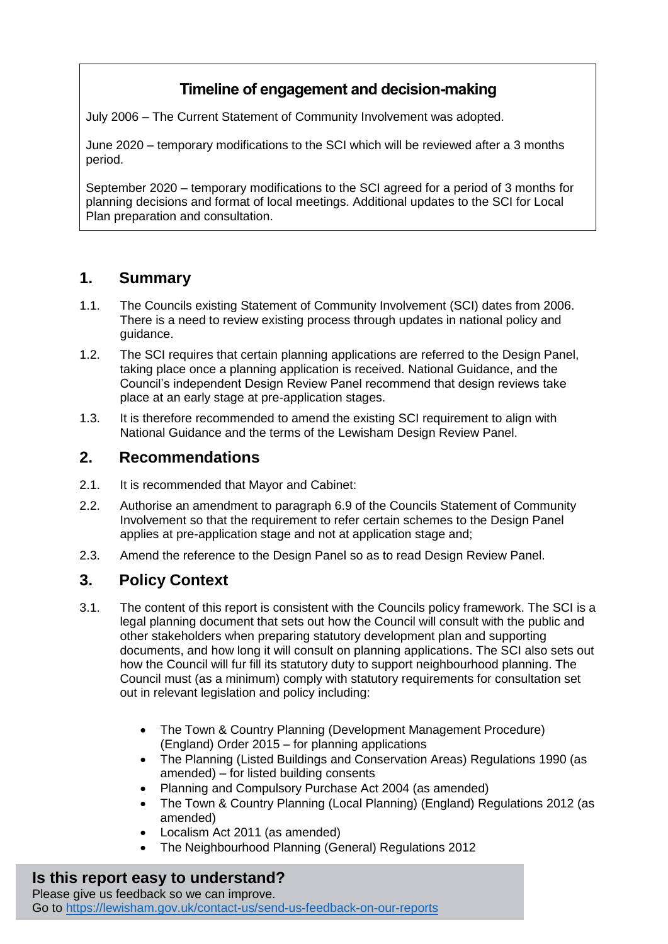# **Timeline of engagement and decision-making**

July 2006 – The Current Statement of Community Involvement was adopted.

June 2020 – temporary modifications to the SCI which will be reviewed after a 3 months period.

September 2020 – temporary modifications to the SCI agreed for a period of 3 months for planning decisions and format of local meetings. Additional updates to the SCI for Local Plan preparation and consultation.

## **1. Summary**

- 1.1. The Councils existing Statement of Community Involvement (SCI) dates from 2006. There is a need to review existing process through updates in national policy and guidance.
- 1.2. The SCI requires that certain planning applications are referred to the Design Panel, taking place once a planning application is received. National Guidance, and the Council's independent Design Review Panel recommend that design reviews take place at an early stage at pre-application stages.
- 1.3. It is therefore recommended to amend the existing SCI requirement to align with National Guidance and the terms of the Lewisham Design Review Panel.

### **2. Recommendations**

- 2.1. It is recommended that Mayor and Cabinet:
- 2.2. Authorise an amendment to paragraph 6.9 of the Councils Statement of Community Involvement so that the requirement to refer certain schemes to the Design Panel applies at pre-application stage and not at application stage and;
- 2.3. Amend the reference to the Design Panel so as to read Design Review Panel.

## **3. Policy Context**

- 3.1. The content of this report is consistent with the Councils policy framework. The SCI is a legal planning document that sets out how the Council will consult with the public and other stakeholders when preparing statutory development plan and supporting documents, and how long it will consult on planning applications. The SCI also sets out how the Council will fur fill its statutory duty to support neighbourhood planning. The Council must (as a minimum) comply with statutory requirements for consultation set out in relevant legislation and policy including:
	- The Town & Country Planning (Development Management Procedure) (England) Order 2015 – for planning applications
	- The Planning (Listed Buildings and Conservation Areas) Regulations 1990 (as amended) – for listed building consents
	- Planning and Compulsory Purchase Act 2004 (as amended)
	- The Town & Country Planning (Local Planning) (England) Regulations 2012 (as amended)
	- Localism Act 2011 (as amended)
	- The Neighbourhood Planning (General) Regulations 2012

#### **Is this report easy to understand?**

Please give us feedback so we can improve. Go to<https://lewisham.gov.uk/contact-us/send-us-feedback-on-our-reports>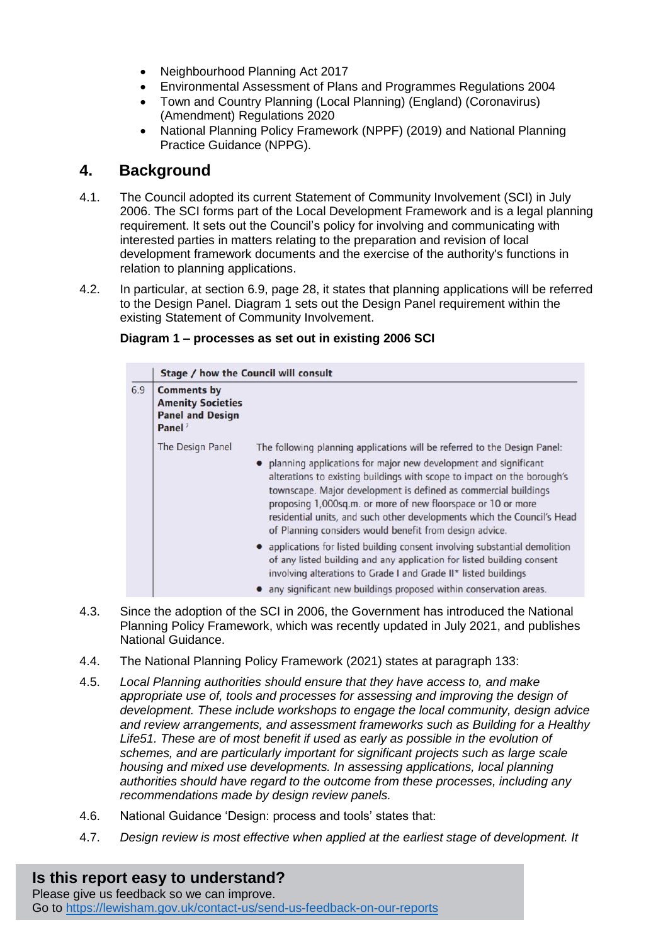- Neighbourhood Planning Act 2017
- Environmental Assessment of Plans and Programmes Regulations 2004
- Town and Country Planning (Local Planning) (England) (Coronavirus) (Amendment) Regulations 2020
- National Planning Policy Framework (NPPF) (2019) and National Planning Practice Guidance (NPPG).

#### **4. Background**

- 4.1. The Council adopted its current Statement of Community Involvement (SCI) in July 2006. The SCI forms part of the Local Development Framework and is a legal planning requirement. It sets out the Council's policy for involving and communicating with interested parties in matters relating to the preparation and revision of local development framework documents and the exercise of the authority's functions in relation to planning applications.
- 4.2. In particular, at section 6.9, page 28, it states that planning applications will be referred to the Design Panel. Diagram 1 sets out the Design Panel requirement within the existing Statement of Community Involvement.

#### **Diagram 1 – processes as set out in existing 2006 SCI**

|     | Stage / how the Council will consult                                                            |                                                                                                                                                                                                                                                                                                                                                                                                                                                                                                    |  |
|-----|-------------------------------------------------------------------------------------------------|----------------------------------------------------------------------------------------------------------------------------------------------------------------------------------------------------------------------------------------------------------------------------------------------------------------------------------------------------------------------------------------------------------------------------------------------------------------------------------------------------|--|
| 6.9 | <b>Comments by</b><br><b>Amenity Societies</b><br><b>Panel and Design</b><br>Panel <sup>7</sup> |                                                                                                                                                                                                                                                                                                                                                                                                                                                                                                    |  |
|     | The Design Panel                                                                                | The following planning applications will be referred to the Design Panel:<br>• planning applications for major new development and significant<br>alterations to existing buildings with scope to impact on the borough's<br>townscape. Major development is defined as commercial buildings<br>proposing 1,000sq.m. or more of new floorspace or 10 or more<br>residential units, and such other developments which the Council's Head<br>of Planning considers would benefit from design advice. |  |
|     |                                                                                                 | • applications for listed building consent involving substantial demolition<br>of any listed building and any application for listed building consent<br>involving alterations to Grade I and Grade II* listed buildings<br>any significant new buildings proposed within conservation areas.                                                                                                                                                                                                      |  |

- 4.3. Since the adoption of the SCI in 2006, the Government has introduced the National Planning Policy Framework, which was recently updated in July 2021, and publishes National Guidance.
- 4.4. The National Planning Policy Framework (2021) states at paragraph 133:
- 4.5. *Local Planning authorities should ensure that they have access to, and make appropriate use of, tools and processes for assessing and improving the design of development. These include workshops to engage the local community, design advice and review arrangements, and assessment frameworks such as Building for a Healthy*  Life51. These are of most benefit if used as early as possible in the evolution of *schemes, and are particularly important for significant projects such as large scale housing and mixed use developments. In assessing applications, local planning authorities should have regard to the outcome from these processes, including any recommendations made by design review panels.*
- 4.6. National Guidance 'Design: process and tools' states that:
- 4.7. *Design review is most effective when applied at the earliest stage of development. It*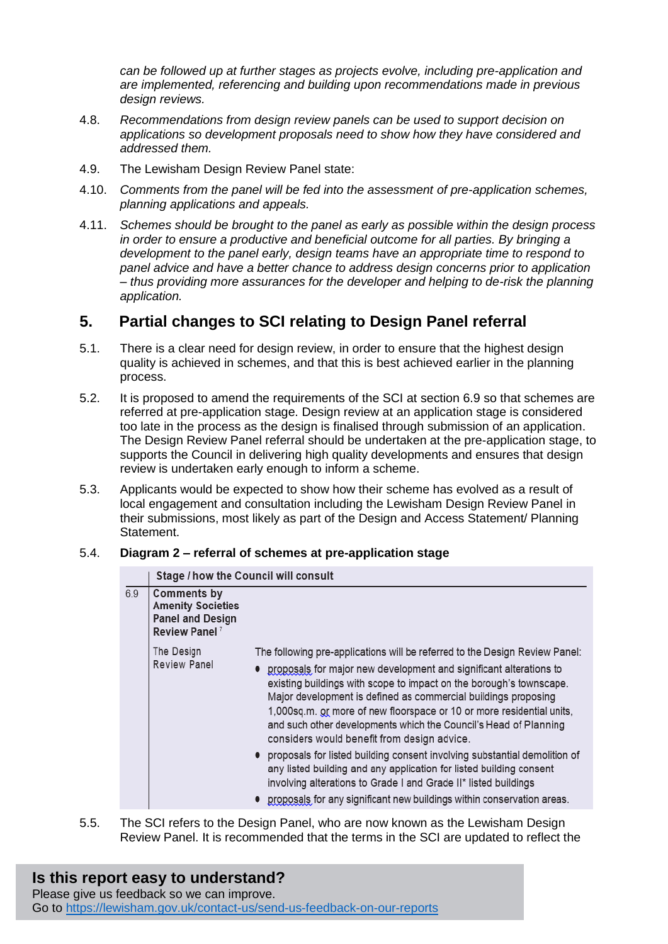*can be followed up at further stages as projects evolve, including pre-application and are implemented, referencing and building upon recommendations made in previous design reviews.* 

- 4.8. *Recommendations from design review panels can be used to support decision on applications so development proposals need to show how they have considered and addressed them.*
- 4.9. The Lewisham Design Review Panel state:
- 4.10. *Comments from the panel will be fed into the assessment of pre-application schemes, planning applications and appeals.*
- 4.11. *Schemes should be brought to the panel as early as possible within the design process in order to ensure a productive and beneficial outcome for all parties. By bringing a development to the panel early, design teams have an appropriate time to respond to panel advice and have a better chance to address design concerns prior to application – thus providing more assurances for the developer and helping to de-risk the planning application.*

### **5. Partial changes to SCI relating to Design Panel referral**

- 5.1. There is a clear need for design review, in order to ensure that the highest design quality is achieved in schemes, and that this is best achieved earlier in the planning process.
- 5.2. It is proposed to amend the requirements of the SCI at section 6.9 so that schemes are referred at pre-application stage. Design review at an application stage is considered too late in the process as the design is finalised through submission of an application. The Design Review Panel referral should be undertaken at the pre-application stage, to supports the Council in delivering high quality developments and ensures that design review is undertaken early enough to inform a scheme.
- 5.3. Applicants would be expected to show how their scheme has evolved as a result of local engagement and consultation including the Lewisham Design Review Panel in their submissions, most likely as part of the Design and Access Statement/ Planning Statement.

#### 5.4. **Diagram 2 – referral of schemes at pre-application stage**

|     | Stage / how the Council will consult                                                            |                                                                                                                                                                                                                                                                                                                                                                                                                                                                                                                                                                                                                                                                                                                                                                                           |  |
|-----|-------------------------------------------------------------------------------------------------|-------------------------------------------------------------------------------------------------------------------------------------------------------------------------------------------------------------------------------------------------------------------------------------------------------------------------------------------------------------------------------------------------------------------------------------------------------------------------------------------------------------------------------------------------------------------------------------------------------------------------------------------------------------------------------------------------------------------------------------------------------------------------------------------|--|
| 6.9 | Comments by<br><b>Amenity Societies</b><br><b>Panel and Design</b><br>Review Panel <sup>7</sup> |                                                                                                                                                                                                                                                                                                                                                                                                                                                                                                                                                                                                                                                                                                                                                                                           |  |
|     | The Design<br>Review Panel                                                                      | The following pre-applications will be referred to the Design Review Panel:<br>proposals for major new development and significant alterations to<br>existing buildings with scope to impact on the borough's townscape.<br>Major development is defined as commercial buildings proposing<br>1,000sq.m. or more of new floorspace or 10 or more residential units,<br>and such other developments which the Council's Head of Planning<br>considers would benefit from design advice.<br>• proposals for listed building consent involving substantial demolition of<br>any listed building and any application for listed building consent<br>involving alterations to Grade I and Grade II* listed buildings<br>proposals for any significant new buildings within conservation areas. |  |
|     |                                                                                                 |                                                                                                                                                                                                                                                                                                                                                                                                                                                                                                                                                                                                                                                                                                                                                                                           |  |

5.5. The SCI refers to the Design Panel, who are now known as the Lewisham Design Review Panel. It is recommended that the terms in the SCI are updated to reflect the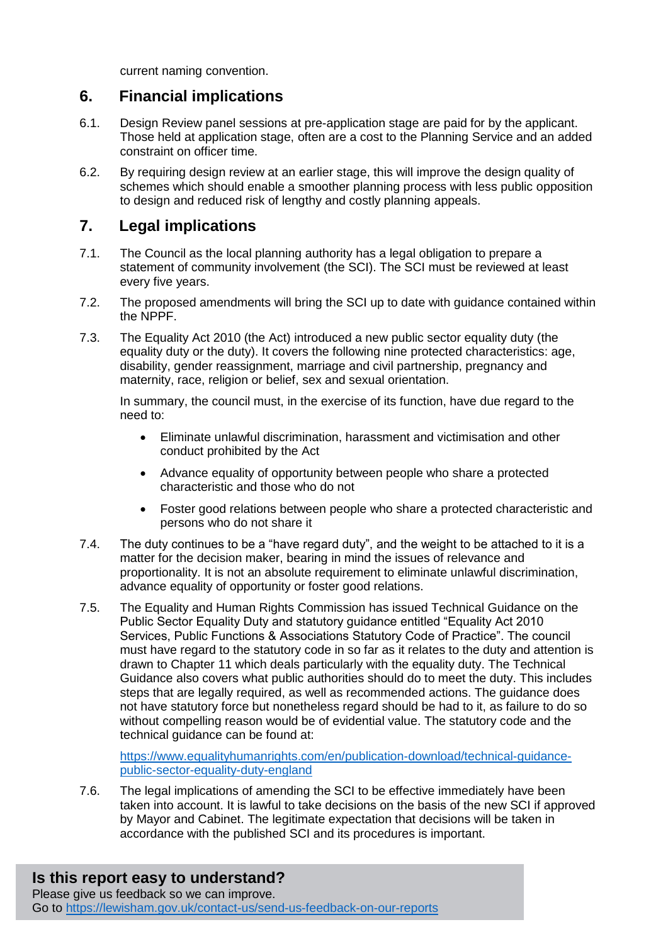current naming convention.

### **6. Financial implications**

- 6.1. Design Review panel sessions at pre-application stage are paid for by the applicant. Those held at application stage, often are a cost to the Planning Service and an added constraint on officer time.
- 6.2. By requiring design review at an earlier stage, this will improve the design quality of schemes which should enable a smoother planning process with less public opposition to design and reduced risk of lengthy and costly planning appeals.

## **7. Legal implications**

- 7.1. The Council as the local planning authority has a legal obligation to prepare a statement of community involvement (the SCI). The SCI must be reviewed at least every five years.
- 7.2. The proposed amendments will bring the SCI up to date with guidance contained within the NPPF.
- 7.3. The Equality Act 2010 (the Act) introduced a new public sector equality duty (the equality duty or the duty). It covers the following nine protected characteristics: age, disability, gender reassignment, marriage and civil partnership, pregnancy and maternity, race, religion or belief, sex and sexual orientation.

In summary, the council must, in the exercise of its function, have due regard to the need to:

- Eliminate unlawful discrimination, harassment and victimisation and other conduct prohibited by the Act
- Advance equality of opportunity between people who share a protected characteristic and those who do not
- Foster good relations between people who share a protected characteristic and persons who do not share it
- 7.4. The duty continues to be a "have regard duty", and the weight to be attached to it is a matter for the decision maker, bearing in mind the issues of relevance and proportionality. It is not an absolute requirement to eliminate unlawful discrimination, advance equality of opportunity or foster good relations.
- 7.5. The Equality and Human Rights Commission has issued Technical Guidance on the Public Sector Equality Duty and statutory guidance entitled "Equality Act 2010 Services, Public Functions & Associations Statutory Code of Practice". The council must have regard to the statutory code in so far as it relates to the duty and attention is drawn to Chapter 11 which deals particularly with the equality duty. The Technical Guidance also covers what public authorities should do to meet the duty. This includes steps that are legally required, as well as recommended actions. The guidance does not have statutory force but nonetheless regard should be had to it, as failure to do so without compelling reason would be of evidential value. The statutory code and the technical guidance can be found at:

[https://www.equalityhumanrights.com/en/publication-download/technical-guidance](https://www.equalityhumanrights.com/en/publication-download/technical-guidance-public-sector-equality-duty-england)[public-sector-equality-duty-england](https://www.equalityhumanrights.com/en/publication-download/technical-guidance-public-sector-equality-duty-england)

7.6. The legal implications of amending the SCI to be effective immediately have been taken into account. It is lawful to take decisions on the basis of the new SCI if approved by Mayor and Cabinet. The legitimate expectation that decisions will be taken in accordance with the published SCI and its procedures is important.

# **Is this report easy to understand?**

Please give us feedback so we can improve. Go to<https://lewisham.gov.uk/contact-us/send-us-feedback-on-our-reports>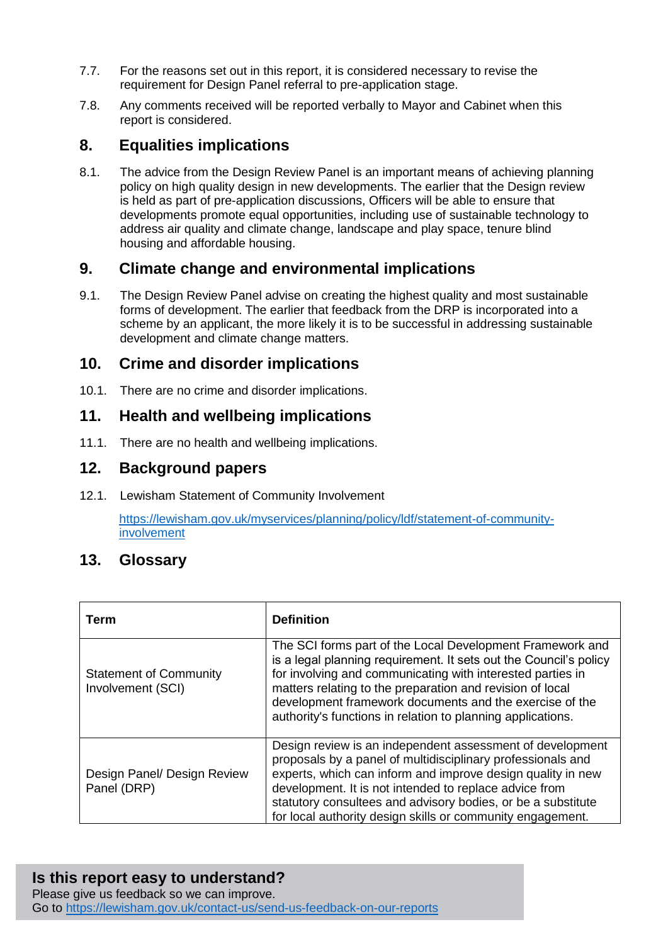- 7.7. For the reasons set out in this report, it is considered necessary to revise the requirement for Design Panel referral to pre-application stage.
- 7.8. Any comments received will be reported verbally to Mayor and Cabinet when this report is considered.

## **8. Equalities implications**

8.1. The advice from the Design Review Panel is an important means of achieving planning policy on high quality design in new developments. The earlier that the Design review is held as part of pre-application discussions, Officers will be able to ensure that developments promote equal opportunities, including use of sustainable technology to address air quality and climate change, landscape and play space, tenure blind housing and affordable housing.

### **9. Climate change and environmental implications**

9.1. The Design Review Panel advise on creating the highest quality and most sustainable forms of development. The earlier that feedback from the DRP is incorporated into a scheme by an applicant, the more likely it is to be successful in addressing sustainable development and climate change matters.

#### **10. Crime and disorder implications**

10.1. There are no crime and disorder implications.

#### **11. Health and wellbeing implications**

11.1. There are no health and wellbeing implications.

#### **12. Background papers**

12.1. Lewisham Statement of Community Involvement

[https://lewisham.gov.uk/myservices/planning/policy/ldf/statement-of-community](https://lewisham.gov.uk/myservices/planning/policy/ldf/statement-of-community-involvement)[involvement](https://lewisham.gov.uk/myservices/planning/policy/ldf/statement-of-community-involvement) 

#### **13. Glossary**

| Term                                               | <b>Definition</b>                                                                                                                                                                                                                                                                                                                                                                   |
|----------------------------------------------------|-------------------------------------------------------------------------------------------------------------------------------------------------------------------------------------------------------------------------------------------------------------------------------------------------------------------------------------------------------------------------------------|
| <b>Statement of Community</b><br>Involvement (SCI) | The SCI forms part of the Local Development Framework and<br>is a legal planning requirement. It sets out the Council's policy<br>for involving and communicating with interested parties in<br>matters relating to the preparation and revision of local<br>development framework documents and the exercise of the<br>authority's functions in relation to planning applications. |
| Design Panel/ Design Review<br>Panel (DRP)         | Design review is an independent assessment of development<br>proposals by a panel of multidisciplinary professionals and<br>experts, which can inform and improve design quality in new<br>development. It is not intended to replace advice from<br>statutory consultees and advisory bodies, or be a substitute<br>for local authority design skills or community engagement.     |

#### **Is this report easy to understand?**

Please give us feedback so we can improve. Go to<https://lewisham.gov.uk/contact-us/send-us-feedback-on-our-reports>